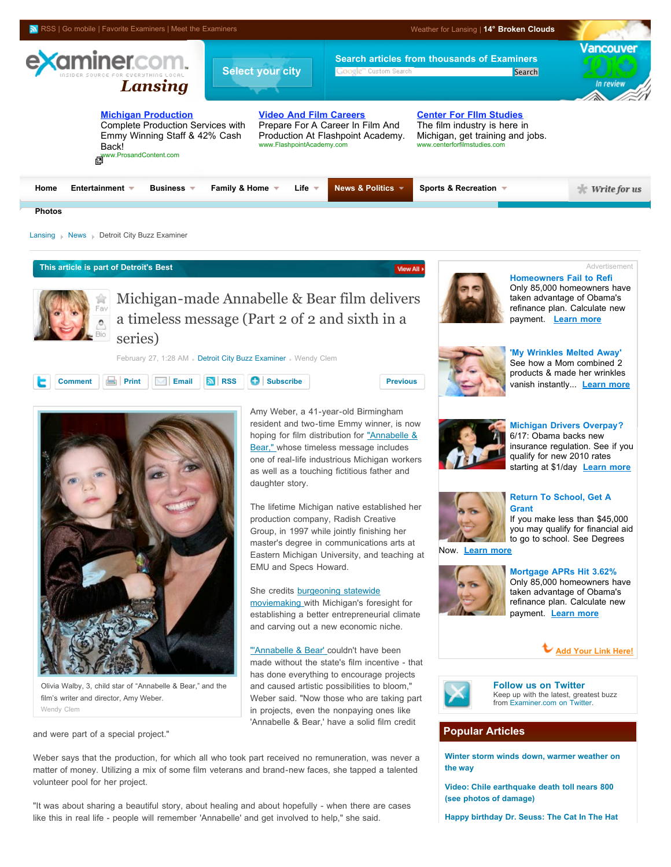

# **This article is part of Detroit's Best**



Michigan-made Annabelle & Bear film delivers a timeless message (Part 2 of 2 and sixth in a series)

February 27, 1:28 AM . [Detroit City Buzz Examiner](http://www.examiner.com/x-1800-Detroit-City-Buzz-Examiner) Wendy Clem





Olivia Walby, 3, child star of "Annabelle & Bear," and the film's writer and director, Amy Weber. Wendy Clem

and were part of a special project."

Amy Weber, a 41-year-old Birmingham resident and two-time Emmy winner, is now [hoping for film distribution for "Annabelle &](http://www.examiner.com/x-1800-Detroit-City-Buzz-Examiner~y2010m2d27-Michiganmade-Annabelle--Bear-film-delivers-a-timeless-message-Part-1-of-2-and-fifth-in-a-series) Bear," whose timeless message includes one of real-life industrious Michigan workers as well as a touching fictitious father and daughter story.

The lifetime Michigan native established her production company, Radish Creative Group, in 1997 while jointly finishing her master's degree in communications arts at Eastern Michigan University, and teaching at EMU and Specs Howard.

She credits **burgeoning** statewide moviemaking with Michigan's foresight for establishing a better entrepreneurial climate and carving out a new economic niche.

["'Annabelle & Bear' c](http://www.examiner.com/x-1800-Detroit-City-Buzz-Examiner~y2010m2d27-Michiganmade-Annabelle--Bear-film-delivers-a-timeless-message-Part-1-of-2-and-fifth-in-a-series)ouldn't have been made without the state's film incentive - that has done everything to encourage projects and caused artistic possibilities to bloom," Weber said. "Now those who are taking part in projects, even the nonpaying ones like 'Annabelle & Bear,' have a solid film credit

Weber says that the production, for which all who took part received no remuneration, was never a matter of money. Utilizing a mix of some film veterans and brand-new faces, she tapped a talented volunteer pool for her project.

"It was about sharing a beautiful story, about healing and about hopefully - when there are cases like this in real life - people will remember 'Annabelle' and get involved to help," she said.



View All >

**[Homeowners Fail to Refi](http://web.adblade.com/clicks.php?appId=1640&zid=4b0ae438da821&adId=9438&zoneId=52)**  [Only 85,000 homeowners have](http://web.adblade.com/clicks.php?appId=1640&zid=4b0ae438da821&adId=9438&zoneId=52) taken advantage of Obama's refinance plan. Calculate new payment. **[Learn more](http://web.adblade.com/clicks.php?appId=1640&zid=4b0ae438da821&adId=9438&zoneId=52)**

Advertisement



**['My Wrinkles Melted Away'](http://web.adblade.com/clicks.php?appId=1640&zid=4b689f8edde28&adId=10931&zoneId=52)** See how a Mom combined 2 [products & made her wrinkles](http://web.adblade.com/clicks.php?appId=1640&zid=4b689f8edde28&adId=10931&zoneId=52) vanish instantly... **[Learn more](http://web.adblade.com/clicks.php?appId=1640&zid=4b689f8edde28&adId=10931&zoneId=52)**



#### **[Michigan Drivers Overpay?](http://web.adblade.com/clicks.php?appId=1640&zid=4b6b1a2ea26d0&adId=10979&zoneId=52)** 6/17: Obama backs new [insurance regulation. See if you](http://web.adblade.com/clicks.php?appId=1640&zid=4b6b1a2ea26d0&adId=10979&zoneId=52) qualify for new 2010 rates

starting at \$1/day **[Learn more](http://web.adblade.com/clicks.php?appId=1640&zid=4b6b1a2ea26d0&adId=10979&zoneId=52)**

# **[Return To School, Get A](http://web.adblade.com/clicks.php?appId=1640&zid=4b6cb341a5f5c&adId=11039&zoneId=52) Grant**

If you make less than \$45,000 [you may qualify for financial aid](http://web.adblade.com/clicks.php?appId=1640&zid=4b6cb341a5f5c&adId=11039&zoneId=52) to go to school. See Degrees

Now. **[Learn more](http://web.adblade.com/clicks.php?appId=1640&zid=4b6cb341a5f5c&adId=11039&zoneId=52)**



**[Mortgage APRs Hit 3.62%](http://web.adblade.com/clicks.php?appId=1640&zid=4b68b07bd5eb3&adId=10934&zoneId=52)** [Only 85,000 homeowners have](http://web.adblade.com/clicks.php?appId=1640&zid=4b68b07bd5eb3&adId=10934&zoneId=52) taken advantage of Obama's refinance plan. Calculate new payment. **[Learn more](http://web.adblade.com/clicks.php?appId=1640&zid=4b68b07bd5eb3&adId=10934&zoneId=52)**





**[Follow us on Twitter](http://twitter.com/examinercom)** Keep up with the latest, greatest buzz from [Examiner.com on Twitter](http://twitter.com/examinercom).

# **Popular Articles**

**[Winter storm winds down, warmer weather on](http://www.examiner.com/x-4053-Raleigh-Weather-Examiner~y2010m3d3-Winter-storm-winds-down-warmer-weather-on-the-way) the way**

**[Video: Chile earthquake death toll nears 800](http://www.examiner.com/x-19632-Salt-Lake-City-Headlines-Examiner~y2010m3d3-Video-Chile-earthquake-death-toll-nears-800-see-photos-of-damage) (see photos of damage)**

**[Happy birthday Dr. Seuss: The Cat In The Hat](http://www.examiner.com/x-31031-Providence-Headlines-Examiner~y2010m3d2-Happy-birthday-Dr-Seuss-The-Cat-In-The-Hat-Local-Read-Across-America-Celebrations)**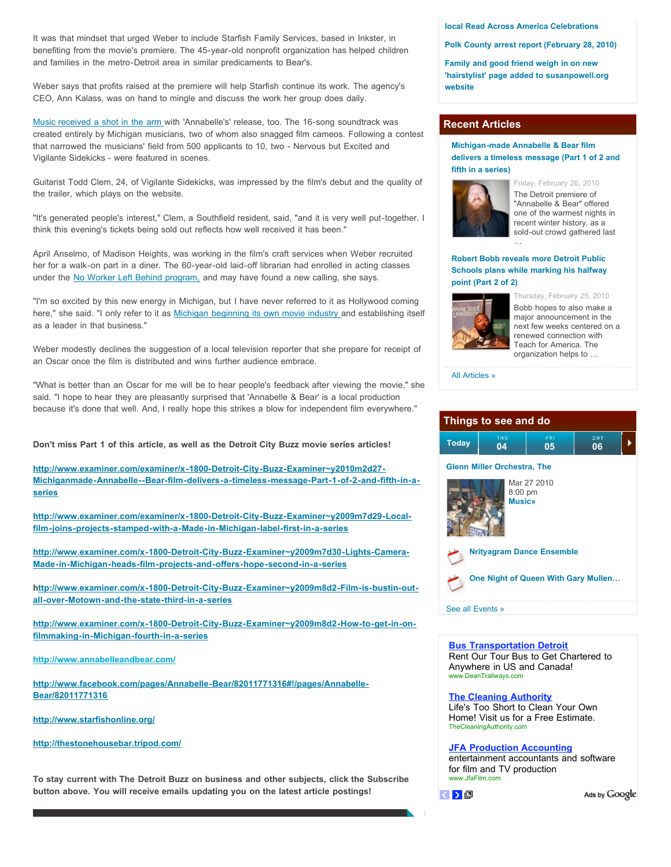It was that mindset that urged Weber to include Starfish Family Services, based in Inkster, in benefiting from the movie's premiere. The 45-year-old nonprofit organization has helped children and families in the metro-Detroit area in similar predicaments to Bear's.

Weber says that profits raised at the premiere will help Starfish continue its work. The agency's CEO, Ann Kalass, was on hand to mingle and discuss the work her group does daily.

[Music received a shot in the arm](http://www.examiner.com/examiner/x-1800-Detroit-City-Buzz-Examiner~y2009m7d29-Local-film-joins-projects-stamped-with-a-Made-in-Michigan-label-first-in-a-series) with 'Annabelle's' release, too. The 16-song soundtrack was created entirely by Michigan musicians, two of whom also snagged film cameos. Following a contest that narrowed the musicians' field from 500 applicants to 10, two - Nervous but Excited and Vigilante Sidekicks - were featured in scenes.

Guitarist Todd Clem, 24, of Vigilante Sidekicks, was impressed by the film's debut and the quality of the trailer, which plays on the website.

"It's generated people's interest," Clem, a Southfield resident, said, "and it is very well put-together. I think this evening's tickets being sold out reflects how well received it has been."

April Anselmo, of Madison Heights, was working in the film's craft services when Weber recruited her for a walk-on part in a diner. The 60-year-old laid-off librarian had enrolled in acting classes under the [No Worker Left Behind program,](http://www.examiner.com/examiner/x-1800-Detroit-City-Buzz-Examiner~y2009m8d2-How-to-get-in-on-filmmaking-in-Michigan-fourth-in-a-series) and may have found a new calling, she says.

"I'm so excited by this new energy in Michigan, but I have never referred to it as Hollywood coming here," she said. "I only refer to it as [Michigan beginning its own movie industry](http://www.examiner.com/examiner/x-1800-Detroit-City-Buzz-Examiner~y2009m7d30-Lights-Camera-Made-in-Michigan-heads-film-projects-and-offers-hope-second-in-a-series) and establishing itself as a leader in that business."

Weber modestly declines the suggestion of a local television reporter that she prepare for receipt of an Oscar once the film is distributed and wins further audience embrace.

"What is better than an Oscar for me will be to hear people's feedback after viewing the movie," she said. "I hope to hear they are pleasantly surprised that 'Annabelle & Bear' is a local production because it's done that well. And, I really hope this strikes a blow for independent film everywhere."

**Don't miss Part 1 of this article, as well as the Detroit City Buzz movie series articles!**

**http://www.examiner.com/examiner/x-1800-Detroit-City-Buzz-Examiner~y2010m2d27- [Michiganmade-Annabelle--Bear-film-delivers-a-timeless-message-Part-1-of-2-and-fifth-in-a](http://www.examiner.com/examiner/x-1800-Detroit-City-Buzz-Examiner~y2010m2d27-Michiganmade-Annabelle--Bear-film-delivers-a-timeless-message-Part-1-of-2-and-sixth-in-a-series)series**

**[http://www.examiner.com/examiner/x-1800-Detroit-City-Buzz-Examiner~y2009m7d29-Local](http://www.examiner.com/examiner/x-1800-Detroit-City-Buzz-Examiner~y2009m7d29-Local-film-joins-projects-stamped-with-a-Made-in-Michigan-label-first-in-a-series)film-joins-projects-stamped-with-a-Made-in-Michigan-label-first-in-a-series**

**[http://www.examiner.com/x-1800-Detroit-City-Buzz-Examiner~y2009m7d30-Lights-Camera-](http://www.examiner.com/x-1800-Detroit-City-Buzz-Examiner~y2009m7d30-Lights-Camera-Made-in-Michigan-heads-film-projects-and-offers-hope-second-in-a-series)Made-in-Michigan-heads-film-projects-and-offers-hope-second-in-a-series**

**[http://www.examiner.com/x-1800-Detroit-City-Buzz-Examiner~y2009m8d2-Film-is-bustin-out](http://www.examiner.com/x-1800-Detroit-City-Buzz-Examiner~y2009m8d2-Film-is-bustin-out-all-over-Motown-and-the-state-third-in-a-series)all-over-Motown-and-the-state-third-in-a-series**

**[http://www.examiner.com/x-1800-Detroit-City-Buzz-Examiner~y2009m8d2-How-to-get-in-on](http://www.examiner.com/x-1800-Detroit-City-Buzz-Examiner~y2009m8d2-How-to-get-in-on-filmmaking-in-Michigan-fourth-in-a-series)filmmaking-in-Michigan-fourth-in-a-series**

**<http://www.annabelleandbear.com/>**

**[http://www.facebook.com/pages/Annabelle-Bear/82011771316#!/pages/Annabelle-](http://www.facebook.com/pages/Annabelle-Bear/82011771316#!/pages/Annabelle-Bear/82011771316)Bear/82011771316**

**<http://www.starfishonline.org/>**

**[http://thestonehousebar.tripod.com/](http://www.starfishonline.org/http://thestonehousebar.tripod.com/)**

**To stay current with The Detroit Buzz on business and other subjects, click the Subscribe button above. You will receive emails updating you on the latest article postings!**

#### **[local Read Across America Celebrations](http://www.examiner.com/x-31031-Providence-Headlines-Examiner~y2010m3d2-Happy-birthday-Dr-Seuss-The-Cat-In-The-Hat-Local-Read-Across-America-Celebrations)**

**[Polk County arrest report \(February 28, 2010\)](http://www.examiner.com/x-18689-Polk-County-Crime-Examiner~y2010m3d3-Polk-County-arrest-report-February-28-2010)**

**Family and good friend weigh in on new ['hairstylist' page added to susanpowell.org](http://www.examiner.com/x-34328-Seattle-Headlines-Examiner~y2010m3d2-Family-and-good-friend-weigh-in-on-new-hairstylist-page-added-to-susanpowellorg-website) website**

## **Recent Articles**

#### **Michigan-made Annabelle & Bear film [delivers a timeless message \(Part 1 of 2 and](http://www.examiner.com/x-1800-Detroit-City-Buzz-Examiner~y2010m2d27-Michiganmade-Annabelle--Bear-film-delivers-a-timeless-message-Part-1-of-2-and-fifth-in-a-series) fifth in a series)**



Friday, February 26, 2010 The Detroit premiere of "Annabelle & Bear" offered one of the warmest nights in recent winter history, as a sold-out crowd gathered last

## **Robert Bobb reveals more Detroit Public [Schools plans while marking his halfway](http://www.examiner.com/x-1800-Detroit-City-Buzz-Examiner~y2010m2d25-Robert-Bobb-reveals-more-Detroit-Public-Schools-plans-while-marking-his-halfway-point-Part-2-of-2) point (Part 2 of 2)**

…



Thursday, February 25, 2010 Bobb hopes to also make a major announcement in the next few weeks centered on a renewed connection with Teach for America. The organization helps to …



| Things to see and do                    |           |           |           |  |
|-----------------------------------------|-----------|-----------|-----------|--|
| <b>Today</b>                            | THU<br>04 | ER1<br>05 | SAT<br>06 |  |
| <b>Glenn Miller Orchestra, The</b>      |           |           |           |  |
| Mar 27 2010<br>8:00 pm<br><b>Music»</b> |           |           |           |  |
| <b>Nrityagram Dance Ensemble</b>        |           |           |           |  |
| One Night of Queen With Gary Mullen     |           |           |           |  |
| See all Events »                        |           |           |           |  |

#### **[Bus Transportation Detroit](http://ad.doubleclick.net/click%3Bh%3Dv8/3952/2/0/%2a/p%3B220320949%3B0-0%3B2%3B43011867%3B4307-300/250%3B34590997/34608875/1%3B%3B%7Esscs%3D%3fhttp://googleads.g.doubleclick.net/aclk?sa=l&ai=Bz2YQyX2OS6TVBZW8zQW4kfz1Cs3Bxo0B8ci6uw_AjbcBgNs1EAEYASCtgc4DKAM4AFDnzuTw_P____8BYMmut4mQpNARsgEQd3d3LmV4YW1pbmVyLmNvbboBCjMwMHgyNTBfYXPIAQHaAaQBaHR0cDovL3d3dy5leGFtaW5lci5jb20veC0xODAwLURldHJvaXQtQ2l0eS1CdXp6LUV4YW1pbmVyfnkyMDEwbTJkMjctTWljaGlnYW5tYWRlLUFubmFiZWxsZS0tQmVhci1maWxtLWRlbGl2ZXJzLWEtdGltZWxlc3MtbWVzc2FnZS1QYXJ0LTItb2YtMi1hbmQtc2l4dGgtaW4tYS1zZXJpZXPgAQLIAoH28QGoAwHIAwfoA4UG6APkBOgDIvUDAgQARA&num=1&sig=AGiWqtzt_1r9tZ05vNkMSgxkWuWgZVG2UQ&client=ca-pub-7479725245717969&adurl=http://mls.marchex.com/c%3Fpid%3D1086479%26tech%3Dmgo%26kid%3D30983495%26url%3DXhBx5yEVRDYNXCpyiT4V5k0rQfZRaldWzvaYumee5nUMgWodYFNc1rwk%26tech_kw_id%3D27963956)**

Rent Our Tour Bus to Get Chartered to Anywhere in US and Canada! www.DeanTrailways.com

### **[The Cleaning Authority](http://ad.doubleclick.net/click%3Bh%3Dv8/3952/2/0/%2a/p%3B220320949%3B0-0%3B2%3B43011867%3B4307-300/250%3B34590997/34608875/1%3B%3B%7Esscs%3D%3fhttp://googleads.g.doubleclick.net/aclk?sa=l&ai=BMfisyX2OS6TVBZW8zQW4kfz1CobyrboByLnqpwXAjbcB8MKgARACGAIgrYHOAygDOABQpabx3QVgya63iZCk0BGgAYavyvoDsgEQd3d3LmV4YW1pbmVyLmNvbboBCjMwMHgyNTBfYXPIAQHaAaQBaHR0cDovL3d3dy5leGFtaW5lci5jb20veC0xODAwLURldHJvaXQtQ2l0eS1CdXp6LUV4YW1pbmVyfnkyMDEwbTJkMjctTWljaGlnYW5tYWRlLUFubmFiZWxsZS0tQmVhci1maWxtLWRlbGl2ZXJzLWEtdGltZWxlc3MtbWVzc2FnZS1QYXJ0LTItb2YtMi1hbmQtc2l4dGgtaW4tYS1zZXJpZXPgAQKAAgGoAwHIAwfoA4UG6APkBOgDIvUDAgQARA&num=2&sig=AGiWqtwP84FN9jLYylHJMlWfPrkS-voOVg&client=ca-pub-7479725245717969&adurl=http://ww4.thecleaningauthority.com/%3Fcpao%3D111%26cpca%3DLocation%2520Specific%2520%26cpag%3DMichigan%26kw%3DDetroit%2520maid)**

Life's Too Short to Clean Your Own Home! Visit us for a Free Estimate. TheCleaningAuthority.com

#### **[JFA Production Accounting](http://ad.doubleclick.net/click%3Bh%3Dv8/3952/2/0/%2a/p%3B220320949%3B0-0%3B2%3B43011867%3B4307-300/250%3B34590997/34608875/1%3B%3B%7Esscs%3D%3fhttp://googleads.g.doubleclick.net/aclk?sa=l&ai=BKtnuyX2OS6TVBZW8zQW4kfz1CoDE_KYBmvvwnxHAjbcBkLgxEAMYAyCtgc4DKAM4AFDt-OGiBWDJrreJkKTQEbIBEHd3dy5leGFtaW5lci5jb226AQozMDB4MjUwX2FzyAEB2gGkAWh0dHA6Ly93d3cuZXhhbWluZXIuY29tL3gtMTgwMC1EZXRyb2l0LUNpdHktQnV6ei1FeGFtaW5lcn55MjAxMG0yZDI3LU1pY2hpZ2FubWFkZS1Bbm5hYmVsbGUtLUJlYXItZmlsbS1kZWxpdmVycy1hLXRpbWVsZXNzLW1lc3NhZ2UtUGFydC0yLW9mLTItYW5kLXNpeHRoLWluLWEtc2VyaWVz4AECqAMByAMH6AOFBugD5AToAyL1AwIEAEQ&num=3&sig=AGiWqty1LThTW9AAQ9g_Y1OGa_PXKl-xQg&client=ca-pub-7479725245717969&adurl=http://www.jfafilm.com)**

entertainment accountants and software for film and TV production www.JfaFilm.com



Ads by Google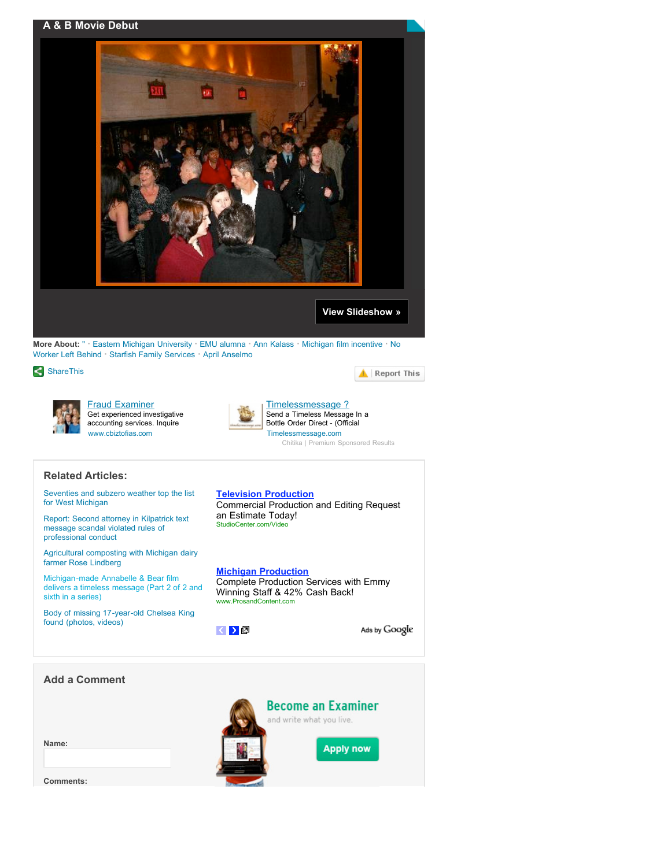